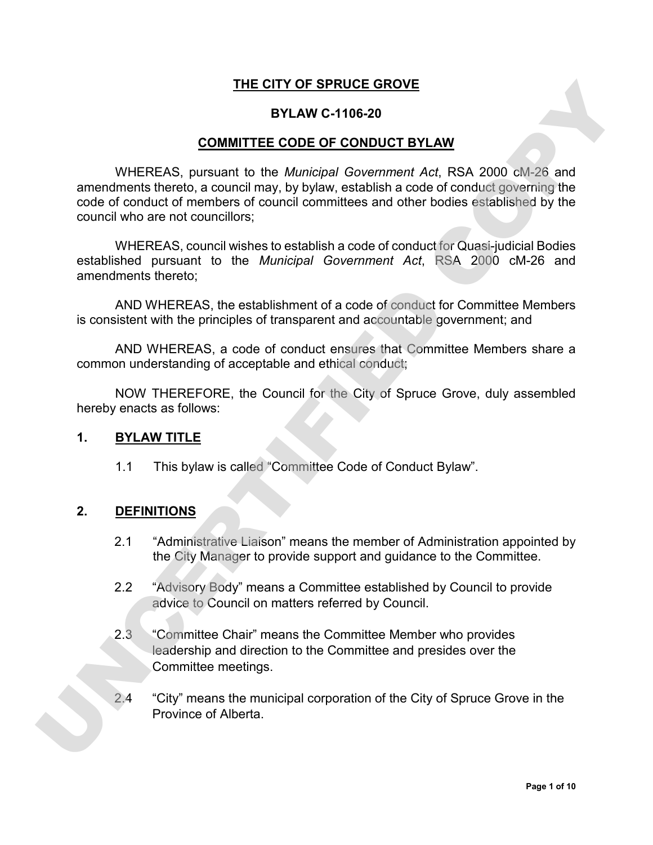#### **THE CITY OF SPRUCE GROVE**

#### **BYLAW C-1106-20**

#### **COMMITTEE CODE OF CONDUCT BYLAW**

WHEREAS, pursuant to the *Municipal Government Act*, RSA 2000 cM-26 and amendments thereto, a council may, by bylaw, establish a code of conduct governing the code of conduct of members of council committees and other bodies established by the council who are not councillors; THE CITY OF SPRUGE GROVE<br>
SOMMITTEE CODE OF CONDUCT BYLAW<br>
WHEREAS, pursuant to the *Municipal Government Act*, RSA 2000 cM-25 and<br>
amendments threts, a council may, by by say, establish a code of conduct of members of cou

WHEREAS, council wishes to establish a code of conduct for Quasi-judicial Bodies established pursuant to the *Municipal Government Act*, RSA 2000 cM-26 and amendments thereto;

AND WHEREAS, the establishment of a code of conduct for Committee Members is consistent with the principles of transparent and accountable government; and

AND WHEREAS, a code of conduct ensures that Committee Members share a common understanding of acceptable and ethical conduct;

NOW THEREFORE, the Council for the City of Spruce Grove, duly assembled hereby enacts as follows:

#### **1. BYLAW TITLE**

1.1 This bylaw is called "Committee Code of Conduct Bylaw".

#### **2. DEFINITIONS**

- 2.1 "Administrative Liaison" means the member of Administration appointed by the City Manager to provide support and guidance to the Committee.
- 2.2 "Advisory Body" means a Committee established by Council to provide advice to Council on matters referred by Council.
- 2.3 "Committee Chair" means the Committee Member who provides leadership and direction to the Committee and presides over the Committee meetings.
- 2.4 "City" means the municipal corporation of the City of Spruce Grove in the Province of Alberta.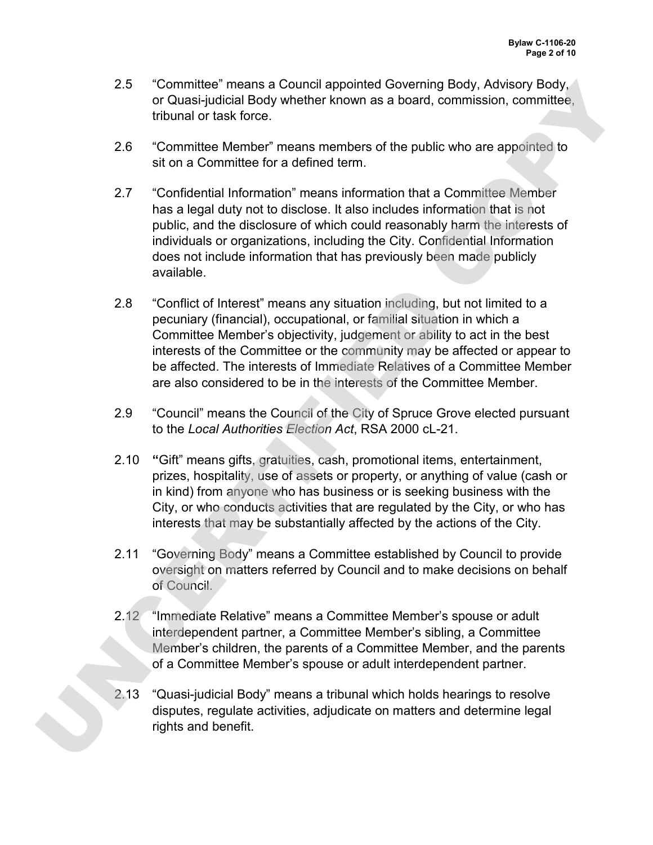- 2.5 "Committee" means a Council appointed Governing Body, Advisory Body, or Quasi-judicial Body whether known as a board, commission, committee, tribunal or task force.
- 2.6 "Committee Member" means members of the public who are appointed to sit on a Committee for a defined term.
- 2.7 "Confidential Information" means information that a Committee Member has a legal duty not to disclose. It also includes information that is not public, and the disclosure of which could reasonably harm the interests of individuals or organizations, including the City. Confidential Information does not include information that has previously been made publicly available.
- 2.8 "Conflict of Interest" means any situation including, but not limited to a pecuniary (financial), occupational, or familial situation in which a Committee Member's objectivity, judgement or ability to act in the best interests of the Committee or the community may be affected or appear to be affected. The interests of Immediate Relatives of a Committee Member are also considered to be in the interests of the Committee Member. CS "Committee" (means a Council appointed Governing Body, Advisory Body, Considers and the particle Mension, committee<br>or Quasi-judicial Body whether known as a board, commission, committee<br>thround of task force.<br>The parti
	- 2.9 "Council" means the Council of the City of Spruce Grove elected pursuant to the *Local Authorities Election Act*, RSA 2000 cL-21.
	- 2.10 **"**Gift" means gifts, gratuities, cash, promotional items, entertainment, prizes, hospitality, use of assets or property, or anything of value (cash or in kind) from anyone who has business or is seeking business with the City, or who conducts activities that are regulated by the City, or who has interests that may be substantially affected by the actions of the City.
	- 2.11 "Governing Body" means a Committee established by Council to provide oversight on matters referred by Council and to make decisions on behalf of Council.
	- 2.12 "Immediate Relative" means a Committee Member's spouse or adult interdependent partner, a Committee Member's sibling, a Committee Member's children, the parents of a Committee Member, and the parents of a Committee Member's spouse or adult interdependent partner.
	- 2.13 "Quasi-judicial Body" means a tribunal which holds hearings to resolve disputes, regulate activities, adjudicate on matters and determine legal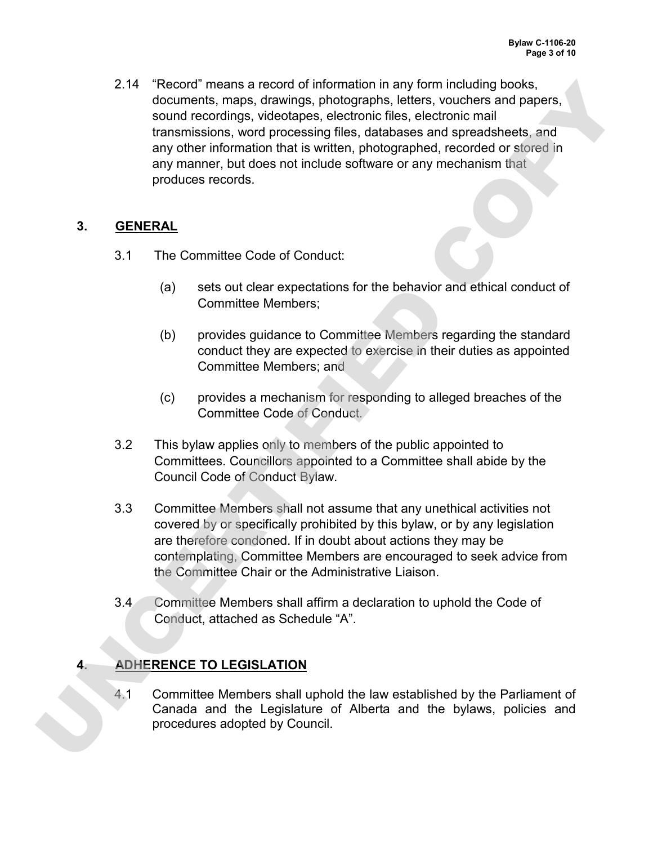2.14 "Record" means a record of information in any form including books, documents, maps, drawings, photographs, letters, vouchers and papers, sound recordings, videotapes, electronic files, electronic mail transmissions, word processing files, databases and spreadsheets, and any other information that is written, photographed, recorded or stored in any manner, but does not include software or any mechanism that produces records. 2.14 "Record means a record of information in any form metuling books,<br>documents, maps, drawings, photographs, letters, vocabers and papers,<br>sound recordings, volobiging, the<br>documental (and the proposition) first distance

### **3. GENERAL**

- 3.1 The Committee Code of Conduct:
	- (a) sets out clear expectations for the behavior and ethical conduct of Committee Members;
	- (b) provides guidance to Committee Members regarding the standard conduct they are expected to exercise in their duties as appointed Committee Members; and
	- (c) provides a mechanism for responding to alleged breaches of the Committee Code of Conduct.
- 3.2 This bylaw applies only to members of the public appointed to Committees. Councillors appointed to a Committee shall abide by the Council Code of Conduct Bylaw.
- 3.3 Committee Members shall not assume that any unethical activities not covered by or specifically prohibited by this bylaw, or by any legislation are therefore condoned. If in doubt about actions they may be contemplating, Committee Members are encouraged to seek advice from the Committee Chair or the Administrative Liaison.
- 3.4 Committee Members shall affirm a declaration to uphold the Code of Conduct, attached as Schedule "A".

# **4. ADHERENCE TO LEGISLATION**

4.1 Committee Members shall uphold the law established by the Parliament of Canada and the Legislature of Alberta and the bylaws, policies and procedures adopted by Council.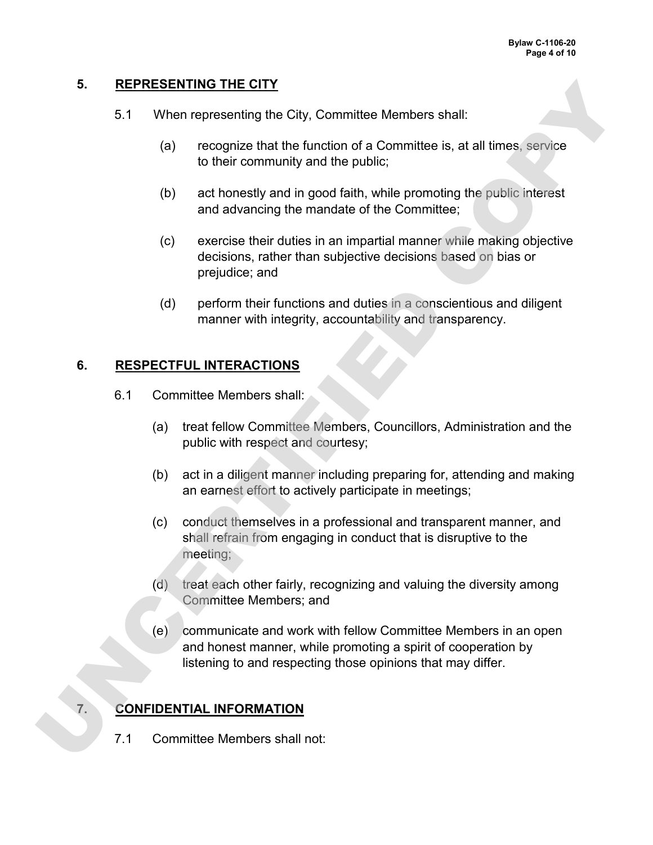#### **5. REPRESENTING THE CITY**

- 5.1 When representing the City, Committee Members shall:
	- (a) recognize that the function of a Committee is, at all times, service to their community and the public;
	- (b) act honestly and in good faith, while promoting the public interest and advancing the mandate of the Committee;
	- (c) exercise their duties in an impartial manner while making objective decisions, rather than subjective decisions based on bias or prejudice; and
	- (d) perform their functions and duties in a conscientious and diligent manner with integrity, accountability and transparency.

### **6. RESPECTFUL INTERACTIONS**

- 6.1 Committee Members shall:
	- (a) treat fellow Committee Members, Councillors, Administration and the public with respect and courtesy;
	- (b) act in a diligent manner including preparing for, attending and making an earnest effort to actively participate in meetings;
	- (c) conduct themselves in a professional and transparent manner, and shall refrain from engaging in conduct that is disruptive to the meeting;
	- (d) treat each other fairly, recognizing and valuing the diversity among Committee Members; and
- (e) communicate and work with fellow Committee Members in an open and honest manner, while promoting a spirit of cooperation by listening to and respecting those opinions that may differ. 5. **INTERFERENTIFIED CITY**<br>
(a) recognize that the function of a Committee is, at all times, service<br>
(b) recognize that the function of a Committee is, at all times, service<br>
(c) and nonestig and in good faith, while pro

# **7. CONFIDENTIAL INFORMATION**

7.1 Committee Members shall not: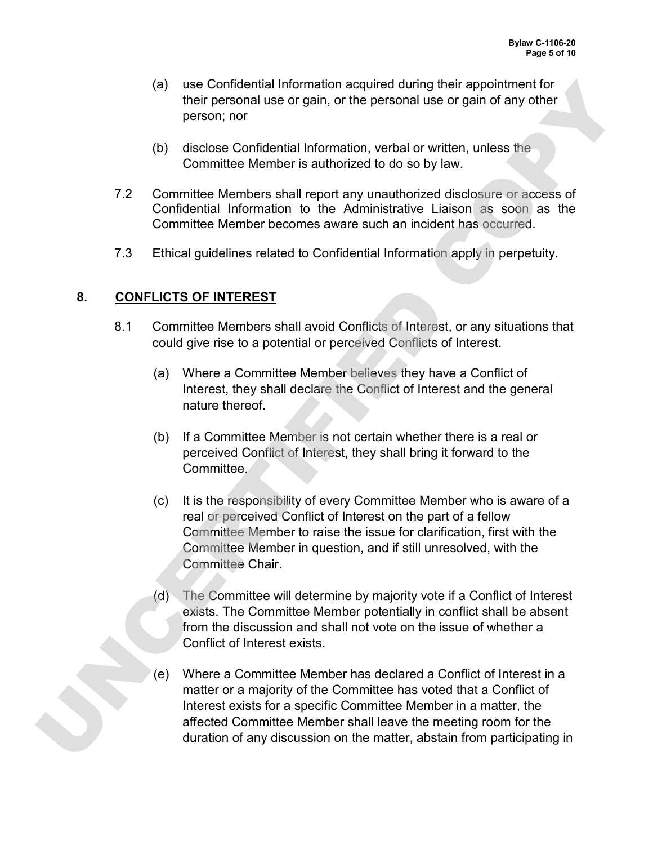- (a) use Confidential Information acquired during their appointment for their personal use or gain, or the personal use or gain of any other person; nor
- (b) disclose Confidential Information, verbal or written, unless the Committee Member is authorized to do so by law.
- 7.2 Committee Members shall report any unauthorized disclosure or access of Confidential Information to the Administrative Liaison as soon as the Committee Member becomes aware such an incident has occurred.
- 7.3 Ethical guidelines related to Confidential Information apply in perpetuity.

### **8. CONFLICTS OF INTEREST**

- 8.1 Committee Members shall avoid Conflicts of Interest, or any situations that could give rise to a potential or perceived Conflicts of Interest.
	- (a) Where a Committee Member believes they have a Conflict of Interest, they shall declare the Conflict of Interest and the general nature thereof.
	- (b) If a Committee Member is not certain whether there is a real or perceived Conflict of Interest, they shall bring it forward to the Committee.
	- (c) It is the responsibility of every Committee Member who is aware of a real or perceived Conflict of Interest on the part of a fellow Committee Member to raise the issue for clarification, first with the Committee Member in question, and if still unresolved, with the Committee Chair.
	- (d) The Committee will determine by majority vote if a Conflict of Interest exists. The Committee Member potentially in conflict shall be absent from the discussion and shall not vote on the issue of whether a Conflict of Interest exists.
- (e) Where a Committee Member has declared a Conflict of Interest in a matter or a majority of the Committee has voted that a Conflict of Interest exists for a specific Committee Member in a matter, the affected Committee Member shall leave the meeting room for the (a) use Confidential Information acquired during their appointment for personal use or gain of they person, nor<br>
(b) disclose Confidential Information, verbal or written, unless the<br>
Committee Member is authorized to do so duration of any discussion on the matter, abstain from participating in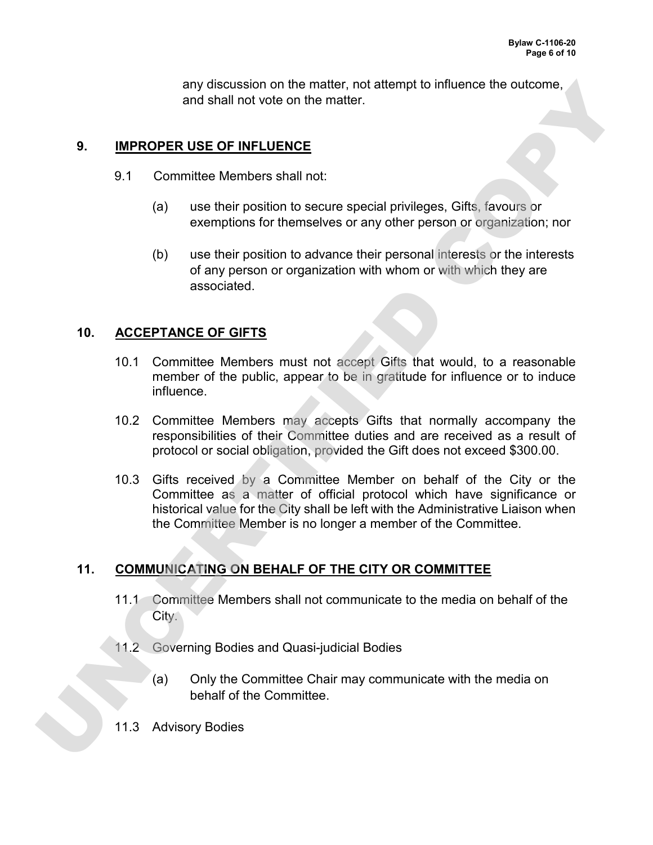any discussion on the matter, not attempt to influence the outcome, and shall not vote on the matter.

#### **9. IMPROPER USE OF INFLUENCE**

- 9.1 Committee Members shall not:
	- (a) use their position to secure special privileges, Gifts, favours or exemptions for themselves or any other person or organization; nor
	- (b) use their position to advance their personal interests or the interests of any person or organization with whom or with which they are associated.

#### **10. ACCEPTANCE OF GIFTS**

- 10.1 Committee Members must not accept Gifts that would, to a reasonable member of the public, appear to be in gratitude for influence or to induce influence.
- 10.2 Committee Members may accepts Gifts that normally accompany the responsibilities of their Committee duties and are received as a result of protocol or social obligation, provided the Gift does not exceed \$300.00.
- 10.3 Gifts received by a Committee Member on behalf of the City or the Committee as a matter of official protocol which have significance or historical value for the City shall be left with the Administrative Liaison when the Committee Member is no longer a member of the Committee. any discussion on the matter, not attempt to influence the outcome,<br>and shall not vote on the matter.<br>
9.<br>
<u>IMPROPER USE OF INFLUENCE</u><br>
9.1 Committee Members shall not<br>
(a) use their position to secure special privileges.

### **11. COMMUNICATING ON BEHALF OF THE CITY OR COMMITTEE**

- 11.1 Committee Members shall not communicate to the media on behalf of the City.
- 11.2 Governing Bodies and Quasi-judicial Bodies
	- (a) Only the Committee Chair may communicate with the media on behalf of the Committee.
- 11.3 Advisory Bodies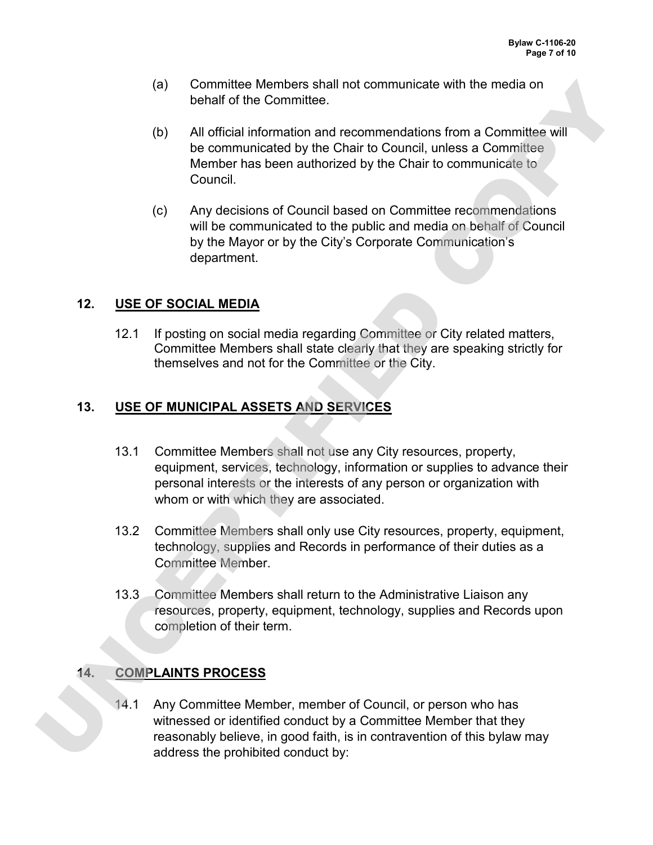- (a) Committee Members shall not communicate with the media on behalf of the Committee.
- (b) All official information and recommendations from a Committee will be communicated by the Chair to Council, unless a Committee Member has been authorized by the Chair to communicate to Council.
- (c) Any decisions of Council based on Committee recommendations will be communicated to the public and media on behalf of Council by the Mayor or by the City's Corporate Communication's department.

## **12. USE OF SOCIAL MEDIA**

12.1 If posting on social media regarding Committee or City related matters, Committee Members shall state clearly that they are speaking strictly for themselves and not for the Committee or the City.

# **13. USE OF MUNICIPAL ASSETS AND SERVICES**

- 13.1 Committee Members shall not use any City resources, property, equipment, services, technology, information or supplies to advance their personal interests or the interests of any person or organization with whom or with which they are associated. (a) Committee. Members shall not communicate with the media on<br>
behalf of the Committee.<br>
(b) All official information and recommendations from a Committee will<br>
be contrinuited to the Control to Council, unless a Committ
	- 13.2 Committee Members shall only use City resources, property, equipment, technology, supplies and Records in performance of their duties as a Committee Member.
	- 13.3 Committee Members shall return to the Administrative Liaison any resources, property, equipment, technology, supplies and Records upon completion of their term.

# **14. COMPLAINTS PROCESS**

14.1 Any Committee Member, member of Council, or person who has witnessed or identified conduct by a Committee Member that they reasonably believe, in good faith, is in contravention of this bylaw may address the prohibited conduct by: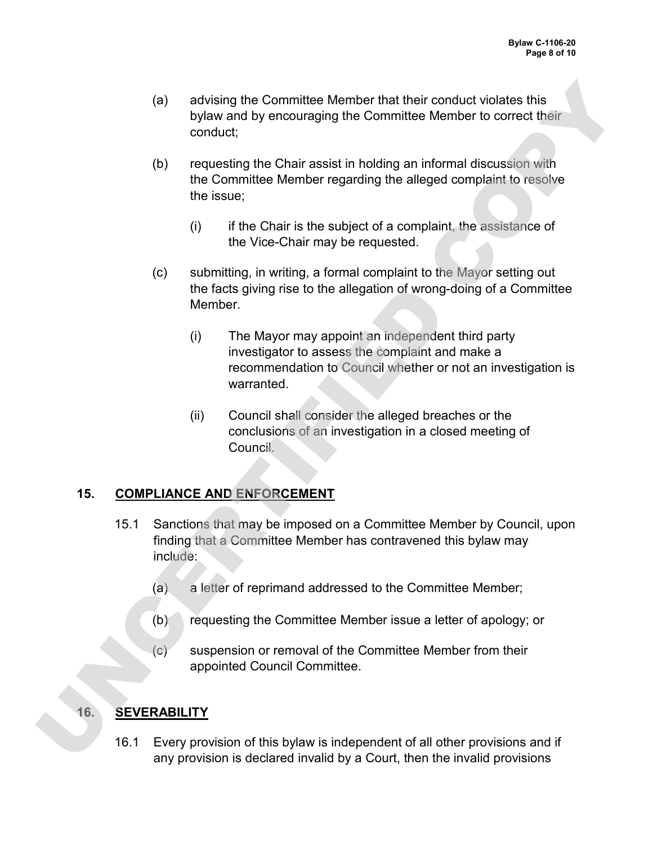- (a) advising the Committee Member that their conduct violates this bylaw and by encouraging the Committee Member to correct their conduct;
- (b) requesting the Chair assist in holding an informal discussion with the Committee Member regarding the alleged complaint to resolve the issue;
	- $(i)$  if the Chair is the subject of a complaint, the assistance of the Vice-Chair may be requested.
- (c) submitting, in writing, a formal complaint to the Mayor setting out the facts giving rise to the allegation of wrong-doing of a Committee Member.
- (i) The Mayor may appoint an independent third party investigator to assess the complaint and make a recommendation to Council whether or not an investigation is warranted. (a) advising the Committee Member that their conduct violates this<br>
bylew and by encouraging the Committee Member to correct their<br>
conduct:<br>
(b) requesting the Chair assist in holding an informal discussion with<br>
the Core
	- (ii) Council shall consider the alleged breaches or the conclusions of an investigation in a closed meeting of Council.

### **15. COMPLIANCE AND ENFORCEMENT**

- 15.1 Sanctions that may be imposed on a Committee Member by Council, upon finding that a Committee Member has contravened this bylaw may include:
	- (a) a letter of reprimand addressed to the Committee Member;
	- (b) requesting the Committee Member issue a letter of apology; or
	- $(c)$  suspension or removal of the Committee Member from their appointed Council Committee.

# **16. SEVERABILITY**

16.1 Every provision of this bylaw is independent of all other provisions and if any provision is declared invalid by a Court, then the invalid provisions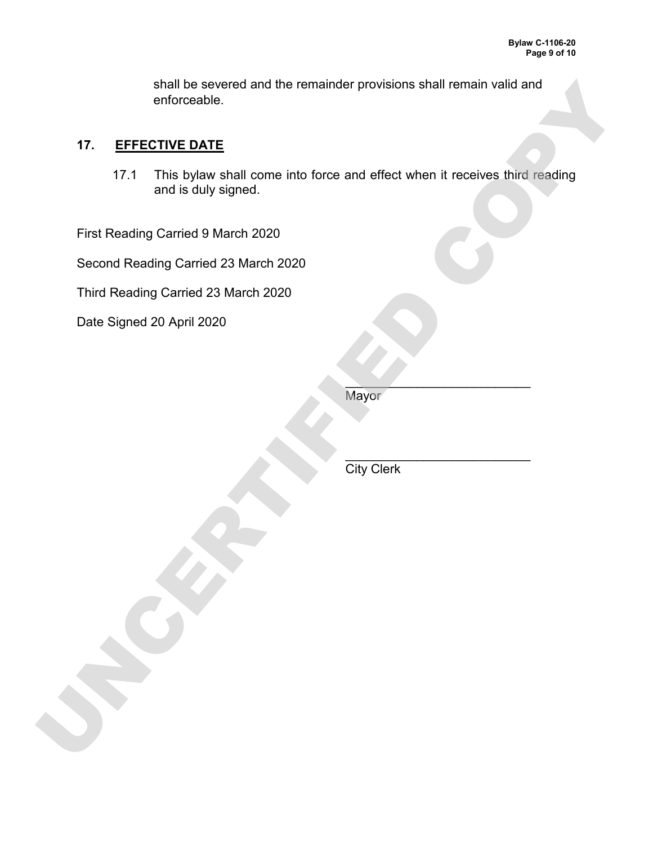shall be severed and the remainder provisions shall remain valid and enforceable.

### **17. EFFECTIVE DATE**

17.1 This bylaw shall come into force and effect when it receives third reading and is duly signed. shall be severed and the remainder provisions shall remain valid and<br>
17. EFFECTIVE DATE<br>
17.1 This bytaw shall come into force and effect when it receives third reading<br>
17.1 This bytaw shall come into force and effect wh

First Reading Carried 9 March 2020

Second Reading Carried 23 March 2020

Third Reading Carried 23 March 2020

Date Signed 20 April 2020

 $\mathcal{L}_\mathcal{L}$  , which is a set of the set of the set of the set of the set of the set of the set of the set of the set of the set of the set of the set of the set of the set of the set of the set of the set of the set of **Mayor** 

 $\mathcal{L}_\mathcal{L}$  , which is a set of the set of the set of the set of the set of the set of the set of the set of the set of the set of the set of the set of the set of the set of the set of the set of the set of the set of **City Clerk**